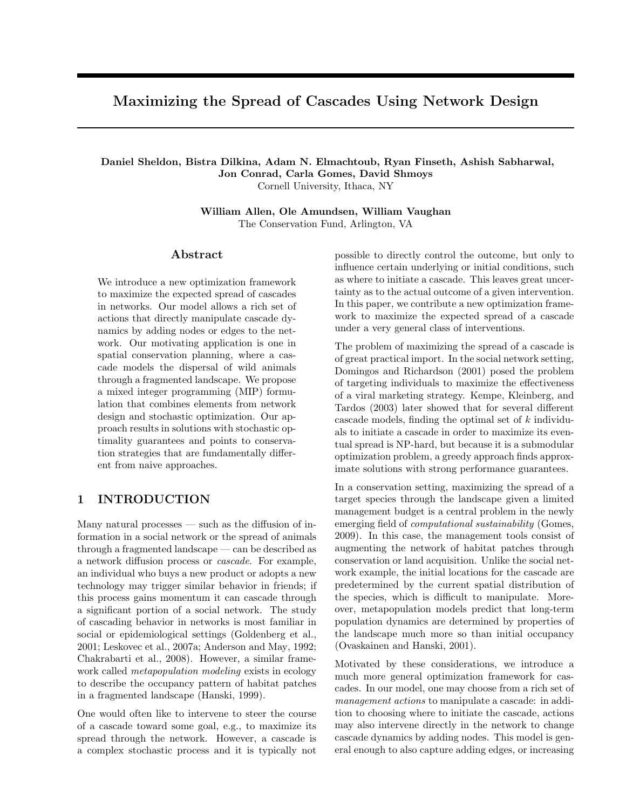# Maximizing the Spread of Cascades Using Network Design

# Daniel Sheldon, Bistra Dilkina, Adam N. Elmachtoub, Ryan Finseth, Ashish Sabharwal, Jon Conrad, Carla Gomes, David Shmoys

Cornell University, Ithaca, NY

William Allen, Ole Amundsen, William Vaughan The Conservation Fund, Arlington, VA

### Abstract

We introduce a new optimization framework to maximize the expected spread of cascades in networks. Our model allows a rich set of actions that directly manipulate cascade dynamics by adding nodes or edges to the network. Our motivating application is one in spatial conservation planning, where a cascade models the dispersal of wild animals through a fragmented landscape. We propose a mixed integer programming (MIP) formulation that combines elements from network design and stochastic optimization. Our approach results in solutions with stochastic optimality guarantees and points to conservation strategies that are fundamentally different from naive approaches.

# 1 INTRODUCTION

Many natural processes — such as the diffusion of information in a social network or the spread of animals through a fragmented landscape — can be described as a network diffusion process or cascade. For example, an individual who buys a new product or adopts a new technology may trigger similar behavior in friends; if this process gains momentum it can cascade through a significant portion of a social network. The study of cascading behavior in networks is most familiar in social or epidemiological settings (Goldenberg et al., 2001; Leskovec et al., 2007a; Anderson and May, 1992; Chakrabarti et al., 2008). However, a similar framework called *metapopulation modeling* exists in ecology to describe the occupancy pattern of habitat patches in a fragmented landscape (Hanski, 1999).

One would often like to intervene to steer the course of a cascade toward some goal, e.g., to maximize its spread through the network. However, a cascade is a complex stochastic process and it is typically not

possible to directly control the outcome, but only to influence certain underlying or initial conditions, such as where to initiate a cascade. This leaves great uncertainty as to the actual outcome of a given intervention. In this paper, we contribute a new optimization framework to maximize the expected spread of a cascade under a very general class of interventions.

The problem of maximizing the spread of a cascade is of great practical import. In the social network setting, Domingos and Richardson (2001) posed the problem of targeting individuals to maximize the effectiveness of a viral marketing strategy. Kempe, Kleinberg, and Tardos (2003) later showed that for several different cascade models, finding the optimal set of k individuals to initiate a cascade in order to maximize its eventual spread is NP-hard, but because it is a submodular optimization problem, a greedy approach finds approximate solutions with strong performance guarantees.

In a conservation setting, maximizing the spread of a target species through the landscape given a limited management budget is a central problem in the newly emerging field of computational sustainability (Gomes, 2009). In this case, the management tools consist of augmenting the network of habitat patches through conservation or land acquisition. Unlike the social network example, the initial locations for the cascade are predetermined by the current spatial distribution of the species, which is difficult to manipulate. Moreover, metapopulation models predict that long-term population dynamics are determined by properties of the landscape much more so than initial occupancy (Ovaskainen and Hanski, 2001).

Motivated by these considerations, we introduce a much more general optimization framework for cascades. In our model, one may choose from a rich set of management actions to manipulate a cascade: in addition to choosing where to initiate the cascade, actions may also intervene directly in the network to change cascade dynamics by adding nodes. This model is general enough to also capture adding edges, or increasing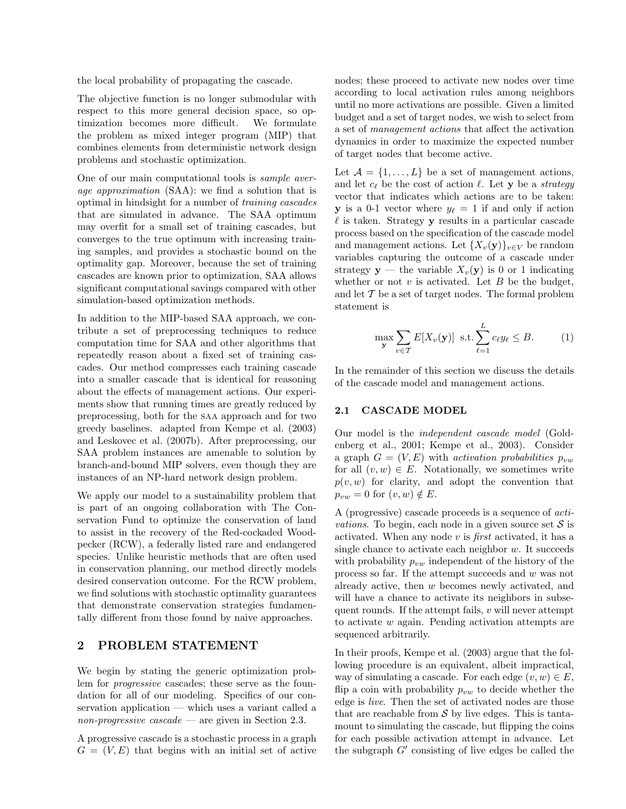the local probability of propagating the cascade.

The objective function is no longer submodular with respect to this more general decision space, so optimization becomes more difficult. We formulate the problem as mixed integer program (MIP) that combines elements from deterministic network design problems and stochastic optimization.

One of our main computational tools is sample average approximation (SAA): we find a solution that is optimal in hindsight for a number of training cascades that are simulated in advance. The SAA optimum may overfit for a small set of training cascades, but converges to the true optimum with increasing training samples, and provides a stochastic bound on the optimality gap. Moreover, because the set of training cascades are known prior to optimization, SAA allows significant computational savings compared with other simulation-based optimization methods.

In addition to the MIP-based SAA approach, we contribute a set of preprocessing techniques to reduce computation time for SAA and other algorithms that repeatedly reason about a fixed set of training cascades. Our method compresses each training cascade into a smaller cascade that is identical for reasoning about the effects of management actions. Our experiments show that running times are greatly reduced by preprocessing, both for the saa approach and for two greedy baselines. adapted from Kempe et al. (2003) and Leskovec et al. (2007b). After preprocessing, our SAA problem instances are amenable to solution by branch-and-bound MIP solvers, even though they are instances of an NP-hard network design problem.

We apply our model to a sustainability problem that is part of an ongoing collaboration with The Conservation Fund to optimize the conservation of land to assist in the recovery of the Red-cockaded Woodpecker (RCW), a federally listed rare and endangered species. Unlike heuristic methods that are often used in conservation planning, our method directly models desired conservation outcome. For the RCW problem, we find solutions with stochastic optimality guarantees that demonstrate conservation strategies fundamentally different from those found by naive approaches.

# 2 PROBLEM STATEMENT

We begin by stating the generic optimization problem for progressive cascades; these serve as the foundation for all of our modeling. Specifics of our conservation application — which uses a variant called a non-progressive cascade — are given in Section 2.3.

A progressive cascade is a stochastic process in a graph  $G = (V, E)$  that begins with an initial set of active

nodes; these proceed to activate new nodes over time according to local activation rules among neighbors until no more activations are possible. Given a limited budget and a set of target nodes, we wish to select from a set of management actions that affect the activation dynamics in order to maximize the expected number of target nodes that become active.

Let  $A = \{1, \ldots, L\}$  be a set of management actions, and let  $c_{\ell}$  be the cost of action  $\ell$ . Let y be a strategy vector that indicates which actions are to be taken: **y** is a 0-1 vector where  $y_{\ell} = 1$  if and only if action  $\ell$  is taken. Strategy y results in a particular cascade process based on the specification of the cascade model and management actions. Let  ${X_v(\mathbf{y})}_{v \in V}$  be random variables capturing the outcome of a cascade under strategy **y** — the variable  $X_v(\mathbf{y})$  is 0 or 1 indicating whether or not  $v$  is activated. Let  $B$  be the budget, and let  $\mathcal T$  be a set of target nodes. The formal problem statement is

$$
\max_{\mathbf{y}} \sum_{v \in \mathcal{T}} E[X_v(\mathbf{y})] \ \text{s.t.} \sum_{\ell=1}^{L} c_{\ell} y_{\ell} \leq B. \tag{1}
$$

In the remainder of this section we discuss the details of the cascade model and management actions.

### 2.1 CASCADE MODEL

Our model is the independent cascade model (Goldenberg et al., 2001; Kempe et al., 2003). Consider a graph  $G = (V, E)$  with activation probabilities  $p_{vw}$ for all  $(v, w) \in E$ . Notationally, we sometimes write  $p(v, w)$  for clarity, and adopt the convention that  $p_{vw} = 0$  for  $(v, w) \notin E$ .

A (progressive) cascade proceeds is a sequence of acti*vations*. To begin, each node in a given source set  $S$  is activated. When any node  $v$  is *first* activated, it has a single chance to activate each neighbor  $w$ . It succeeds with probability  $p_{vw}$  independent of the history of the process so far. If the attempt succeeds and w was not already active, then w becomes newly activated, and will have a chance to activate its neighbors in subsequent rounds. If the attempt fails,  $v$  will never attempt to activate w again. Pending activation attempts are sequenced arbitrarily.

In their proofs, Kempe et al. (2003) argue that the following procedure is an equivalent, albeit impractical, way of simulating a cascade. For each edge  $(v, w) \in E$ , flip a coin with probability  $p_{vw}$  to decide whether the edge is live. Then the set of activated nodes are those that are reachable from  $\mathcal S$  by live edges. This is tantamount to simulating the cascade, but flipping the coins for each possible activation attempt in advance. Let the subgraph  $G'$  consisting of live edges be called the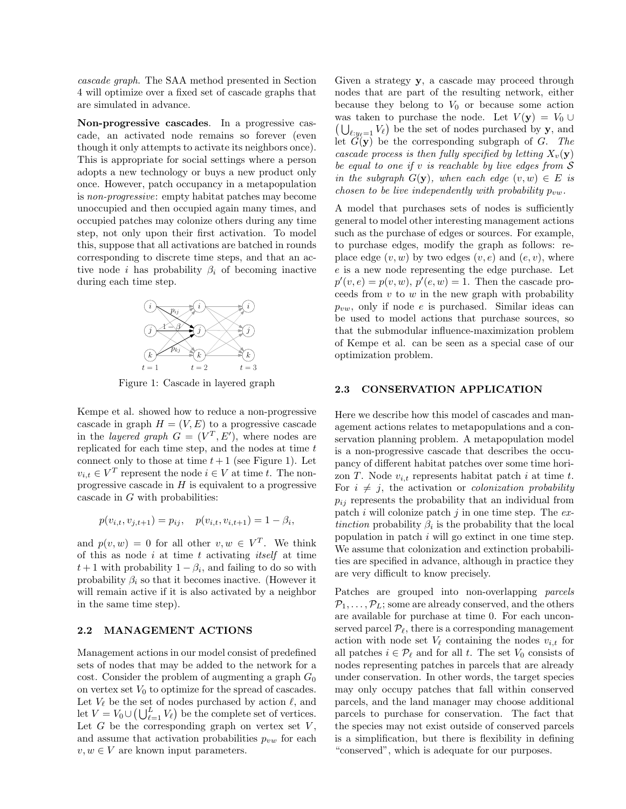cascade graph. The SAA method presented in Section 4 will optimize over a fixed set of cascade graphs that are simulated in advance.

Non-progressive cascades. In a progressive cascade, an activated node remains so forever (even though it only attempts to activate its neighbors once). This is appropriate for social settings where a person adopts a new technology or buys a new product only once. However, patch occupancy in a metapopulation is non-progressive: empty habitat patches may become unoccupied and then occupied again many times, and occupied patches may colonize others during any time step, not only upon their first activation. To model this, suppose that all activations are batched in rounds corresponding to discrete time steps, and that an active node *i* has probability  $\beta_i$  of becoming inactive during each time step.



Figure 1: Cascade in layered graph

Kempe et al. showed how to reduce a non-progressive cascade in graph  $H = (V, E)$  to a progressive cascade in the *layered graph*  $G = (V^T, E')$ , where nodes are replicated for each time step, and the nodes at time  $t$ connect only to those at time  $t + 1$  (see Figure 1). Let  $v_{i,t} \in V^T$  represent the node  $i \in V$  at time t. The nonprogressive cascade in  $H$  is equivalent to a progressive cascade in G with probabilities:

$$
p(v_{i,t}, v_{j,t+1}) = p_{ij}, \quad p(v_{i,t}, v_{i,t+1}) = 1 - \beta_i,
$$

and  $p(v, w) = 0$  for all other  $v, w \in V^T$ . We think of this as node  $i$  at time  $t$  activating *itself* at time  $t+1$  with probability  $1-\beta_i$ , and failing to do so with probability  $\beta_i$  so that it becomes inactive. (However it will remain active if it is also activated by a neighbor in the same time step).

#### 2.2 MANAGEMENT ACTIONS

Management actions in our model consist of predefined sets of nodes that may be added to the network for a cost. Consider the problem of augmenting a graph  $G_0$ on vertex set  $V_0$  to optimize for the spread of cascades. Let  $V_{\ell}$  be the set of nodes purchased by action  $\ell$ , and let  $V = V_0 \cup (\bigcup_{\ell=1}^L V_\ell)$  be the complete set of vertices. Let  $G$  be the corresponding graph on vertex set  $V$ , and assume that activation probabilities  $p_{vw}$  for each  $v, w \in V$  are known input parameters.

Given a strategy **y**, a cascade may proceed through nodes that are part of the resulting network, either because they belong to  $V_0$  or because some action was taken to purchase the node. Let  $V(\mathbf{y}) = V_0 \cup$  $(\bigcup_{\ell: y_{\ell}=1} V_{\ell})$  be the set of nodes purchased by **y**, and let  $\tilde{G}(\mathbf{y})$  be the corresponding subgraph of G. The cascade process is then fully specified by letting  $X_v(\mathbf{y})$ be equal to one if  $v$  is reachable by live edges from  $S$ in the subgraph  $G(y)$ , when each edge  $(v, w) \in E$  is chosen to be live independently with probability  $p_{vw}$ .

A model that purchases sets of nodes is sufficiently general to model other interesting management actions such as the purchase of edges or sources. For example, to purchase edges, modify the graph as follows: replace edge  $(v, w)$  by two edges  $(v, e)$  and  $(e, v)$ , where e is a new node representing the edge purchase. Let  $p'(v, e) = p(v, w), p'(e, w) = 1.$  Then the cascade proceeds from  $v$  to  $w$  in the new graph with probability  $p_{vw}$ , only if node e is purchased. Similar ideas can be used to model actions that purchase sources, so that the submodular influence-maximization problem of Kempe et al. can be seen as a special case of our optimization problem.

#### 2.3 CONSERVATION APPLICATION

Here we describe how this model of cascades and management actions relates to metapopulations and a conservation planning problem. A metapopulation model is a non-progressive cascade that describes the occupancy of different habitat patches over some time horizon  $T$ . Node  $v_{i,t}$  represents habitat patch i at time t. For  $i \neq j$ , the activation or *colonization probability*  $p_{ij}$  represents the probability that an individual from patch i will colonize patch j in one time step. The  $ex$ tinction probability  $\beta_i$  is the probability that the local population in patch  $i$  will go extinct in one time step. We assume that colonization and extinction probabilities are specified in advance, although in practice they are very difficult to know precisely.

Patches are grouped into non-overlapping parcels  $\mathcal{P}_1, \ldots, \mathcal{P}_L$ ; some are already conserved, and the others are available for purchase at time 0. For each unconserved parcel  $\mathcal{P}_{\ell}$ , there is a corresponding management action with node set  $V_{\ell}$  containing the nodes  $v_{i,t}$  for all patches  $i \in \mathcal{P}_\ell$  and for all t. The set  $V_0$  consists of nodes representing patches in parcels that are already under conservation. In other words, the target species may only occupy patches that fall within conserved parcels, and the land manager may choose additional parcels to purchase for conservation. The fact that the species may not exist outside of conserved parcels is a simplification, but there is flexibility in defining "conserved", which is adequate for our purposes.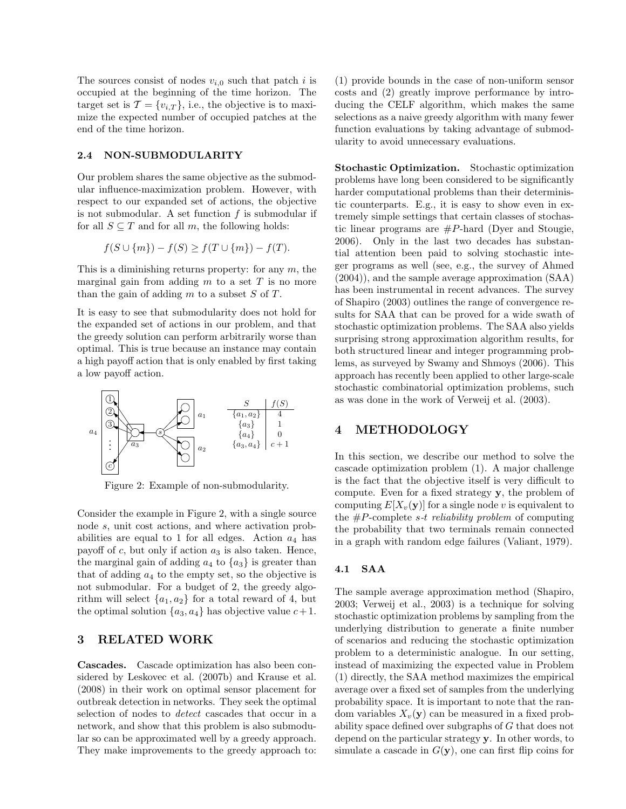The sources consist of nodes  $v_{i,0}$  such that patch i is occupied at the beginning of the time horizon. The target set is  $\mathcal{T} = \{v_{i,T}\}\)$ , i.e., the objective is to maximize the expected number of occupied patches at the end of the time horizon.

#### 2.4 NON-SUBMODULARITY

Our problem shares the same objective as the submodular influence-maximization problem. However, with respect to our expanded set of actions, the objective is not submodular. A set function  $f$  is submodular if for all  $S \subseteq T$  and for all m, the following holds:

$$
f(S \cup \{m\}) - f(S) \ge f(T \cup \{m\}) - f(T).
$$

This is a diminishing returns property: for any  $m$ , the marginal gain from adding  $m$  to a set  $T$  is no more than the gain of adding  $m$  to a subset  $S$  of  $T$ .

It is easy to see that submodularity does not hold for the expanded set of actions in our problem, and that the greedy solution can perform arbitrarily worse than optimal. This is true because an instance may contain a high payoff action that is only enabled by first taking a low payoff action.



Figure 2: Example of non-submodularity.

Consider the example in Figure 2, with a single source node s, unit cost actions, and where activation probabilities are equal to 1 for all edges. Action  $a_4$  has payoff of  $c$ , but only if action  $a_3$  is also taken. Hence, the marginal gain of adding  $a_4$  to  $\{a_3\}$  is greater than that of adding  $a_4$  to the empty set, so the objective is not submodular. For a budget of 2, the greedy algorithm will select  $\{a_1, a_2\}$  for a total reward of 4, but the optimal solution  $\{a_3, a_4\}$  has objective value  $c+1$ .

# 3 RELATED WORK

Cascades. Cascade optimization has also been considered by Leskovec et al. (2007b) and Krause et al. (2008) in their work on optimal sensor placement for outbreak detection in networks. They seek the optimal selection of nodes to detect cascades that occur in a network, and show that this problem is also submodular so can be approximated well by a greedy approach. They make improvements to the greedy approach to:

(1) provide bounds in the case of non-uniform sensor costs and (2) greatly improve performance by introducing the CELF algorithm, which makes the same selections as a naive greedy algorithm with many fewer function evaluations by taking advantage of submodularity to avoid unnecessary evaluations.

Stochastic Optimization. Stochastic optimization problems have long been considered to be significantly harder computational problems than their deterministic counterparts. E.g., it is easy to show even in extremely simple settings that certain classes of stochastic linear programs are  $\#P$ -hard (Dyer and Stougie, 2006). Only in the last two decades has substantial attention been paid to solving stochastic integer programs as well (see, e.g., the survey of Ahmed (2004)), and the sample average approximation (SAA) has been instrumental in recent advances. The survey of Shapiro (2003) outlines the range of convergence results for SAA that can be proved for a wide swath of stochastic optimization problems. The SAA also yields surprising strong approximation algorithm results, for both structured linear and integer programming problems, as surveyed by Swamy and Shmoys (2006). This approach has recently been applied to other large-scale stochastic combinatorial optimization problems, such as was done in the work of Verweij et al. (2003).

## 4 METHODOLOGY

In this section, we describe our method to solve the cascade optimization problem (1). A major challenge is the fact that the objective itself is very difficult to compute. Even for a fixed strategy y, the problem of computing  $E[X_v(\mathbf{y})]$  for a single node v is equivalent to the  $\#P$ -complete s-t reliability problem of computing the probability that two terminals remain connected in a graph with random edge failures (Valiant, 1979).

#### 4.1 SAA

The sample average approximation method (Shapiro, 2003; Verweij et al., 2003) is a technique for solving stochastic optimization problems by sampling from the underlying distribution to generate a finite number of scenarios and reducing the stochastic optimization problem to a deterministic analogue. In our setting, instead of maximizing the expected value in Problem (1) directly, the SAA method maximizes the empirical average over a fixed set of samples from the underlying probability space. It is important to note that the random variables  $X_v(\mathbf{y})$  can be measured in a fixed probability space defined over subgraphs of G that does not depend on the particular strategy y. In other words, to simulate a cascade in  $G(y)$ , one can first flip coins for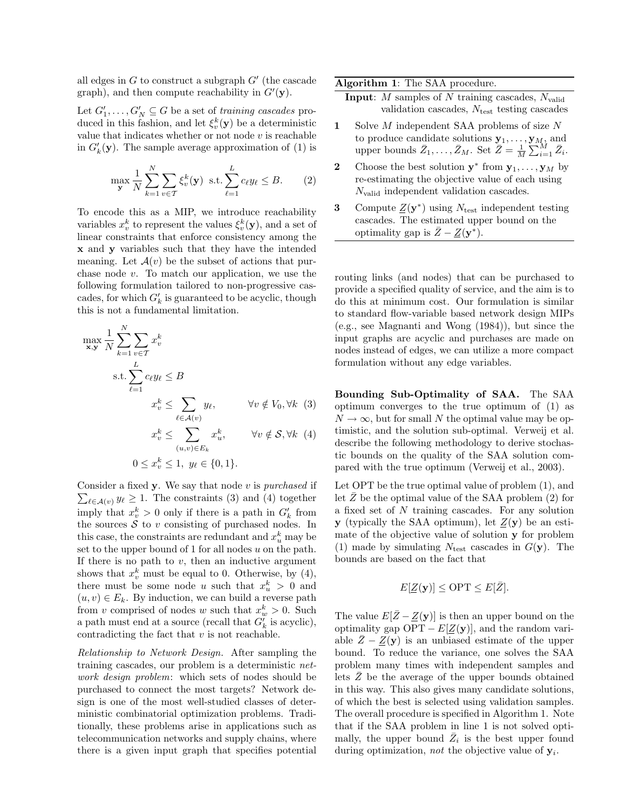all edges in  $G$  to construct a subgraph  $G'$  (the cascade graph), and then compute reachability in  $G'(\mathbf{y})$ .

Let  $G'_1, \ldots, G'_N \subseteq G$  be a set of training cascades produced in this fashion, and let  $\xi_v^k(\mathbf{y})$  be a deterministic value that indicates whether or not node  $v$  is reachable in  $G'_{k}(\mathbf{y})$ . The sample average approximation of (1) is

$$
\max_{\mathbf{y}} \frac{1}{N} \sum_{k=1}^{N} \sum_{v \in \mathcal{T}} \xi_v^k(\mathbf{y}) \text{ s.t.} \sum_{\ell=1}^{L} c_{\ell} y_{\ell} \leq B. \qquad (2)
$$

To encode this as a MIP, we introduce reachability variables  $x_v^k$  to represent the values  $\xi_v^k(\mathbf{y})$ , and a set of linear constraints that enforce consistency among the x and y variables such that they have the intended meaning. Let  $\mathcal{A}(v)$  be the subset of actions that purchase node v. To match our application, we use the following formulation tailored to non-progressive cascades, for which  $G'_{k}$  is guaranteed to be acyclic, though this is not a fundamental limitation.

$$
\max_{\mathbf{x}, \mathbf{y}} \frac{1}{N} \sum_{k=1}^{N} \sum_{v \in \mathcal{T}} x_v^k
$$
\n
$$
\text{s.t.} \sum_{\ell=1}^{L} c_{\ell} y_{\ell} \le B
$$
\n
$$
x_v^k \le \sum_{\ell \in \mathcal{A}(v)} y_{\ell}, \qquad \forall v \notin V_0, \forall k \tag{3}
$$
\n
$$
x_v^k \le \sum_{(u,v) \in E_k} x_u^k, \qquad \forall v \notin \mathcal{S}, \forall k \tag{4}
$$

$$
0 \le x_v^k \le 1, \ y_\ell \in \{0, 1\}.
$$

 $\sum_{\ell \in \mathcal{A}(v)} y_{\ell} \geq 1$ . The constraints (3) and (4) together Consider a fixed  $y$ . We say that node  $v$  is purchased if imply that  $x_v^k > 0$  only if there is a path in  $G'_k$  from the sources  $\check{\mathcal{S}}$  to v consisting of purchased nodes. In this case, the constraints are redundant and  $x_u^k$  may be set to the upper bound of 1 for all nodes  $u$  on the path. If there is no path to  $v$ , then an inductive argument shows that  $x_v^k$  must be equal to 0. Otherwise, by (4), there must be some node u such that  $x_u^k > 0$  and  $(u, v) \in E_k$ . By induction, we can build a reverse path from v comprised of nodes w such that  $x_w^k > 0$ . Such a path must end at a source (recall that  $G'_{k}$  is acyclic), contradicting the fact that  $v$  is not reachable.

Relationship to Network Design. After sampling the training cascades, our problem is a deterministic network design problem: which sets of nodes should be purchased to connect the most targets? Network design is one of the most well-studied classes of deterministic combinatorial optimization problems. Traditionally, these problems arise in applications such as telecommunication networks and supply chains, where there is a given input graph that specifies potential

#### Algorithm 1: The SAA procedure.

- **Input:** *M* samples of *N* training cascades,  $N_{\text{valid}}$ validation cascades,  $N_{\text{test}}$  testing cascades
- 1 Solve  $M$  independent SAA problems of size  $N$ to produce candidate solutions  $y_1, \ldots, y_M$ , and upper bounds  $\bar{Z}_1, \ldots, \bar{Z}_M$ . Set  $\bar{Z} = \frac{1}{M} \sum_{i=1}^M \bar{Z}_i$ .
- 2 Choose the best solution  $\mathbf{y}^*$  from  $\mathbf{y}_1, \ldots, \mathbf{y}_M$  by re-estimating the objective value of each using Nvalid independent validation cascades.
- **3** Compute  $Z(\mathbf{y}^*)$  using  $N_{\text{test}}$  independent testing cascades. The estimated upper bound on the optimality gap is  $\bar{Z} - \underline{Z}(\mathbf{y}^*)$ .

routing links (and nodes) that can be purchased to provide a specified quality of service, and the aim is to do this at minimum cost. Our formulation is similar to standard flow-variable based network design MIPs (e.g., see Magnanti and Wong (1984)), but since the input graphs are acyclic and purchases are made on nodes instead of edges, we can utilize a more compact formulation without any edge variables.

Bounding Sub-Optimality of SAA. The SAA optimum converges to the true optimum of (1) as  $N \to \infty$ , but for small N the optimal value may be optimistic, and the solution sub-optimal. Verweij et al. describe the following methodology to derive stochastic bounds on the quality of the SAA solution compared with the true optimum (Verweij et al., 2003).

Let OPT be the true optimal value of problem (1), and let  $Z$  be the optimal value of the SAA problem  $(2)$  for a fixed set of N training cascades. For any solution **y** (typically the SAA optimum), let  $Z(y)$  be an estimate of the objective value of solution y for problem (1) made by simulating  $N_{\text{test}}$  cascades in  $G(\mathbf{y})$ . The bounds are based on the fact that

$$
E[\underline{Z}(\mathbf{y})] \le \text{OPT} \le E[\overline{Z}].
$$

The value  $E[\bar{Z} - \underline{Z}(\mathbf{y})]$  is then an upper bound on the optimality gap OPT –  $E[\underline{Z}(\mathbf{y})]$ , and the random variable  $\bar{Z} - \underline{Z}(\mathbf{y})$  is an unbiased estimate of the upper bound. To reduce the variance, one solves the SAA problem many times with independent samples and lets  $\bar{Z}$  be the average of the upper bounds obtained in this way. This also gives many candidate solutions, of which the best is selected using validation samples. The overall procedure is specified in Algorithm 1. Note that if the SAA problem in line 1 is not solved optimally, the upper bound  $\overline{Z}_i$  is the best upper found during optimization, *not* the objective value of  $y_i$ .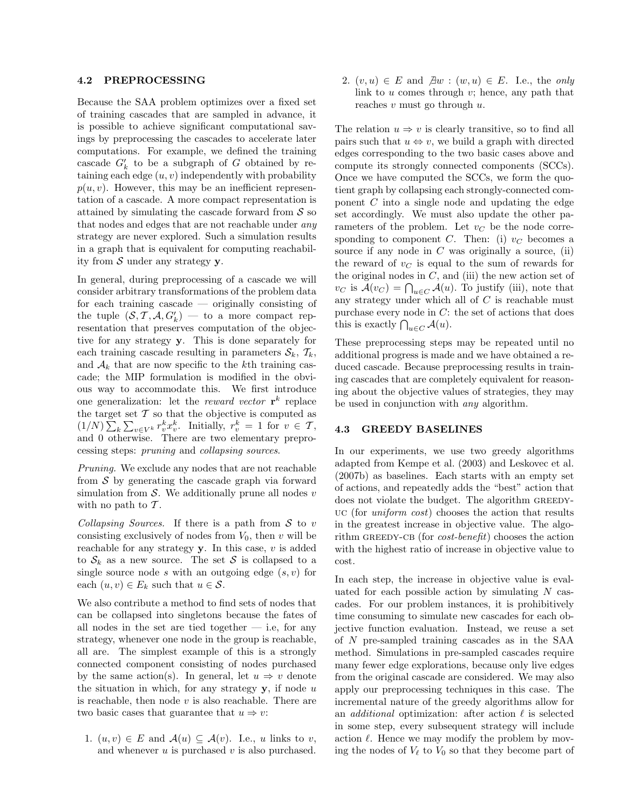#### 4.2 PREPROCESSING

Because the SAA problem optimizes over a fixed set of training cascades that are sampled in advance, it is possible to achieve significant computational savings by preprocessing the cascades to accelerate later computations. For example, we defined the training cascade  $G'_k$  to be a subgraph of G obtained by retaining each edge  $(u, v)$  independently with probability  $p(u, v)$ . However, this may be an inefficient representation of a cascade. A more compact representation is attained by simulating the cascade forward from  $\mathcal S$  so that nodes and edges that are not reachable under any strategy are never explored. Such a simulation results in a graph that is equivalent for computing reachability from  $S$  under any strategy  $y$ .

In general, during preprocessing of a cascade we will consider arbitrary transformations of the problem data for each training cascade — originally consisting of the tuple  $(S, \mathcal{T}, \mathcal{A}, G'_{k})$  — to a more compact representation that preserves computation of the objective for any strategy y. This is done separately for each training cascade resulting in parameters  $\mathcal{S}_k$ ,  $\mathcal{T}_k$ , and  $A_k$  that are now specific to the kth training cascade; the MIP formulation is modified in the obvious way to accommodate this. We first introduce one generalization: let the *reward vector*  $\mathbf{r}^k$  replace the target set  $\mathcal T$  so that the objective is computed as  $(1/N)\sum_{k}\sum_{v\in V^k}r_v^kx_v^k$ . Initially,  $r_v^k = 1$  for  $v \in \mathcal{T}$ , and 0 otherwise. There are two elementary preprocessing steps: pruning and collapsing sources.

Pruning. We exclude any nodes that are not reachable from  $S$  by generating the cascade graph via forward simulation from  $S$ . We additionally prune all nodes  $v$ with no path to  $\mathcal T$ .

Collapsing Sources. If there is a path from  $S$  to v consisting exclusively of nodes from  $V_0$ , then v will be reachable for any strategy  $\mathbf{y}$ . In this case,  $v$  is added to  $S_k$  as a new source. The set S is collapsed to a single source node s with an outgoing edge  $(s, v)$  for each  $(u, v) \in E_k$  such that  $u \in \mathcal{S}$ .

We also contribute a method to find sets of nodes that can be collapsed into singletons because the fates of all nodes in the set are tied together  $-$  i.e, for any strategy, whenever one node in the group is reachable, all are. The simplest example of this is a strongly connected component consisting of nodes purchased by the same action(s). In general, let  $u \Rightarrow v$  denote the situation in which, for any strategy  $\mathbf{y}$ , if node u is reachable, then node  $v$  is also reachable. There are two basic cases that guarantee that  $u \Rightarrow v$ :

1.  $(u, v) \in E$  and  $\mathcal{A}(u) \subseteq \mathcal{A}(v)$ . I.e., u links to v, and whenever  $u$  is purchased  $v$  is also purchased.

2.  $(v, u) \in E$  and  $\exists w : (w, u) \in E$ . I.e., the only link to  $u$  comes through  $v$ ; hence, any path that reaches  $v$  must go through  $u$ .

The relation  $u \Rightarrow v$  is clearly transitive, so to find all pairs such that  $u \Leftrightarrow v$ , we build a graph with directed edges corresponding to the two basic cases above and compute its strongly connected components (SCCs). Once we have computed the SCCs, we form the quotient graph by collapsing each strongly-connected component  $C$  into a single node and updating the edge set accordingly. We must also update the other parameters of the problem. Let  $v<sub>C</sub>$  be the node corresponding to component C. Then: (i)  $v<sub>C</sub>$  becomes a source if any node in  $C$  was originally a source, (ii) the reward of  $v<sub>C</sub>$  is equal to the sum of rewards for the original nodes in  $C$ , and (iii) the new action set of  $v_C$  is  $\mathcal{A}(v_C) = \bigcap_{u \in C} \mathcal{A}(u)$ . To justify (iii), note that any strategy under which all of  $C$  is reachable must purchase every node in  $C$ : the set of actions that does this is exactly  $\bigcap_{u \in C} \mathcal{A}(u)$ .

These preprocessing steps may be repeated until no additional progress is made and we have obtained a reduced cascade. Because preprocessing results in training cascades that are completely equivalent for reasoning about the objective values of strategies, they may be used in conjunction with any algorithm.

### 4.3 GREEDY BASELINES

In our experiments, we use two greedy algorithms adapted from Kempe et al. (2003) and Leskovec et al. (2007b) as baselines. Each starts with an empty set of actions, and repeatedly adds the "best" action that does not violate the budget. The algorithm GREEDYuc (for uniform cost) chooses the action that results in the greatest increase in objective value. The algorithm GREEDY-CB (for  $cost\text{-}bene\hat{t}t$ ) chooses the action with the highest ratio of increase in objective value to cost.

In each step, the increase in objective value is evaluated for each possible action by simulating  $N$  cascades. For our problem instances, it is prohibitively time consuming to simulate new cascades for each objective function evaluation. Instead, we reuse a set of N pre-sampled training cascades as in the SAA method. Simulations in pre-sampled cascades require many fewer edge explorations, because only live edges from the original cascade are considered. We may also apply our preprocessing techniques in this case. The incremental nature of the greedy algorithms allow for an *additional* optimization: after action  $\ell$  is selected in some step, every subsequent strategy will include action  $\ell$ . Hence we may modify the problem by moving the nodes of  $V_{\ell}$  to  $V_0$  so that they become part of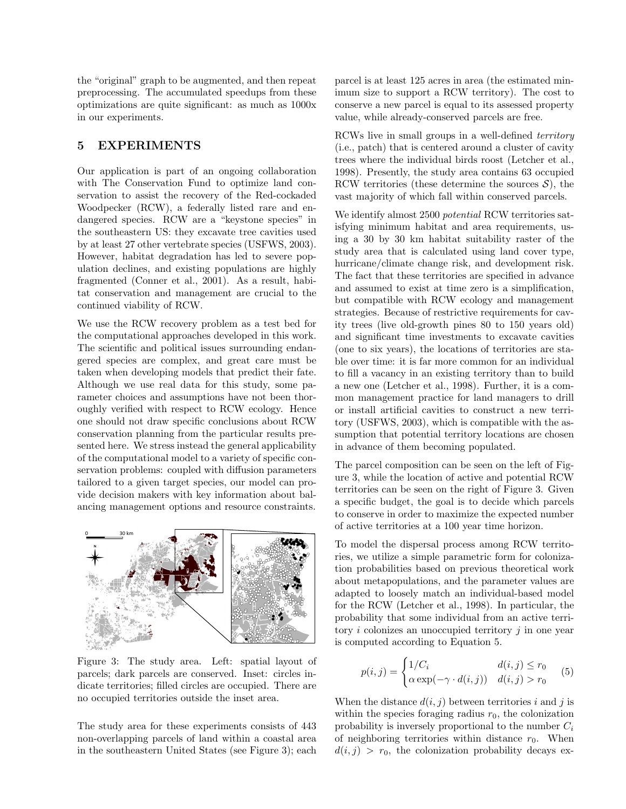the "original" graph to be augmented, and then repeat preprocessing. The accumulated speedups from these optimizations are quite significant: as much as 1000x in our experiments.

## 5 EXPERIMENTS

Our application is part of an ongoing collaboration with The Conservation Fund to optimize land conservation to assist the recovery of the Red-cockaded Woodpecker (RCW), a federally listed rare and endangered species. RCW are a "keystone species" in the southeastern US: they excavate tree cavities used by at least 27 other vertebrate species (USFWS, 2003). However, habitat degradation has led to severe population declines, and existing populations are highly fragmented (Conner et al., 2001). As a result, habitat conservation and management are crucial to the continued viability of RCW.

We use the RCW recovery problem as a test bed for the computational approaches developed in this work. The scientific and political issues surrounding endangered species are complex, and great care must be taken when developing models that predict their fate. Although we use real data for this study, some parameter choices and assumptions have not been thoroughly verified with respect to RCW ecology. Hence one should not draw specific conclusions about RCW conservation planning from the particular results presented here. We stress instead the general applicability of the computational model to a variety of specific conservation problems: coupled with diffusion parameters tailored to a given target species, our model can provide decision makers with key information about balancing management options and resource constraints.



Figure 3: The study area. Left: spatial layout of parcels; dark parcels are conserved. Inset: circles indicate territories; filled circles are occupied. There are no occupied territories outside the inset area.

The study area for these experiments consists of 443 non-overlapping parcels of land within a coastal area in the southeastern United States (see Figure 3); each

parcel is at least 125 acres in area (the estimated minimum size to support a RCW territory). The cost to conserve a new parcel is equal to its assessed property value, while already-conserved parcels are free.

RCWs live in small groups in a well-defined territory (i.e., patch) that is centered around a cluster of cavity trees where the individual birds roost (Letcher et al., 1998). Presently, the study area contains 63 occupied RCW territories (these determine the sources  $\mathcal{S}$ ), the vast majority of which fall within conserved parcels.

We identify almost 2500 *potential* RCW territories satisfying minimum habitat and area requirements, using a 30 by 30 km habitat suitability raster of the study area that is calculated using land cover type, hurricane/climate change risk, and development risk. The fact that these territories are specified in advance and assumed to exist at time zero is a simplification, but compatible with RCW ecology and management strategies. Because of restrictive requirements for cavity trees (live old-growth pines 80 to 150 years old) and significant time investments to excavate cavities (one to six years), the locations of territories are stable over time: it is far more common for an individual to fill a vacancy in an existing territory than to build a new one (Letcher et al., 1998). Further, it is a common management practice for land managers to drill or install artificial cavities to construct a new territory (USFWS, 2003), which is compatible with the assumption that potential territory locations are chosen in advance of them becoming populated.

The parcel composition can be seen on the left of Figure 3, while the location of active and potential RCW territories can be seen on the right of Figure 3. Given a specific budget, the goal is to decide which parcels to conserve in order to maximize the expected number of active territories at a 100 year time horizon.

To model the dispersal process among RCW territories, we utilize a simple parametric form for colonization probabilities based on previous theoretical work about metapopulations, and the parameter values are adapted to loosely match an individual-based model for the RCW (Letcher et al., 1998). In particular, the probability that some individual from an active territory  $i$  colonizes an unoccupied territory  $j$  in one year is computed according to Equation 5.

$$
p(i,j) = \begin{cases} 1/C_i & d(i,j) \le r_0 \\ \alpha \exp(-\gamma \cdot d(i,j)) & d(i,j) > r_0 \end{cases}
$$
 (5)

When the distance  $d(i, j)$  between territories i and j is within the species foraging radius  $r_0$ , the colonization probability is inversely proportional to the number  $C_i$ of neighboring territories within distance  $r_0$ . When  $d(i, j) > r_0$ , the colonization probability decays ex-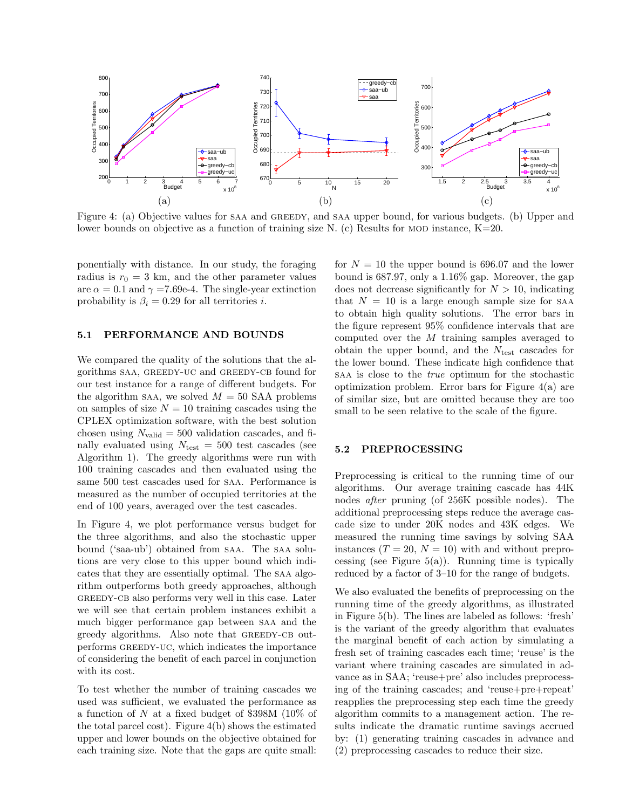

Figure 4: (a) Objective values for saa and greedy, and saa upper bound, for various budgets. (b) Upper and lower bounds on objective as a function of training size N. (c) Results for MOD instance,  $K=20$ .

ponentially with distance. In our study, the foraging radius is  $r_0 = 3$  km, and the other parameter values are  $\alpha = 0.1$  and  $\gamma = 7.69e-4$ . The single-year extinction probability is  $\beta_i = 0.29$  for all territories *i*.

#### 5.1 PERFORMANCE AND BOUNDS

We compared the quality of the solutions that the algorithms saa, greedy-uc and greedy-cb found for our test instance for a range of different budgets. For the algorithm saa, we solved  $M = 50$  SAA problems on samples of size  $N = 10$  training cascades using the CPLEX optimization software, with the best solution chosen using  $N_{\text{valid}} = 500$  validation cascades, and finally evaluated using  $N_{\text{test}} = 500$  test cascades (see Algorithm 1). The greedy algorithms were run with 100 training cascades and then evaluated using the same 500 test cascades used for saa. Performance is measured as the number of occupied territories at the end of 100 years, averaged over the test cascades.

In Figure 4, we plot performance versus budget for the three algorithms, and also the stochastic upper bound ('saa-ub') obtained from saa. The saa solutions are very close to this upper bound which indicates that they are essentially optimal. The saa algorithm outperforms both greedy approaches, although GREEDY-CB also performs very well in this case. Later we will see that certain problem instances exhibit a much bigger performance gap between saa and the greedy algorithms. Also note that GREEDY-CB outperforms GREEDY-UC, which indicates the importance of considering the benefit of each parcel in conjunction with its cost.

To test whether the number of training cascades we used was sufficient, we evaluated the performance as a function of N at a fixed budget of \$398M (10% of the total parcel cost). Figure 4(b) shows the estimated upper and lower bounds on the objective obtained for each training size. Note that the gaps are quite small:

for  $N = 10$  the upper bound is 696.07 and the lower bound is 687.97, only a 1.16% gap. Moreover, the gap does not decrease significantly for  $N > 10$ , indicating that  $N = 10$  is a large enough sample size for SAA to obtain high quality solutions. The error bars in the figure represent 95% confidence intervals that are computed over the M training samples averaged to obtain the upper bound, and the  $N_{\text{test}}$  cascades for the lower bound. These indicate high confidence that saa is close to the true optimum for the stochastic optimization problem. Error bars for Figure 4(a) are of similar size, but are omitted because they are too small to be seen relative to the scale of the figure.

#### 5.2 PREPROCESSING

Preprocessing is critical to the running time of our algorithms. Our average training cascade has 44K nodes after pruning (of 256K possible nodes). The additional preprocessing steps reduce the average cascade size to under 20K nodes and 43K edges. We measured the running time savings by solving SAA instances  $(T = 20, N = 10)$  with and without preprocessing (see Figure  $5(a)$ ). Running time is typically reduced by a factor of 3–10 for the range of budgets.

We also evaluated the benefits of preprocessing on the running time of the greedy algorithms, as illustrated in Figure 5(b). The lines are labeled as follows: 'fresh' is the variant of the greedy algorithm that evaluates the marginal benefit of each action by simulating a fresh set of training cascades each time; 'reuse' is the variant where training cascades are simulated in advance as in SAA; 'reuse+pre' also includes preprocessing of the training cascades; and 'reuse+pre+repeat' reapplies the preprocessing step each time the greedy algorithm commits to a management action. The results indicate the dramatic runtime savings accrued by: (1) generating training cascades in advance and (2) preprocessing cascades to reduce their size.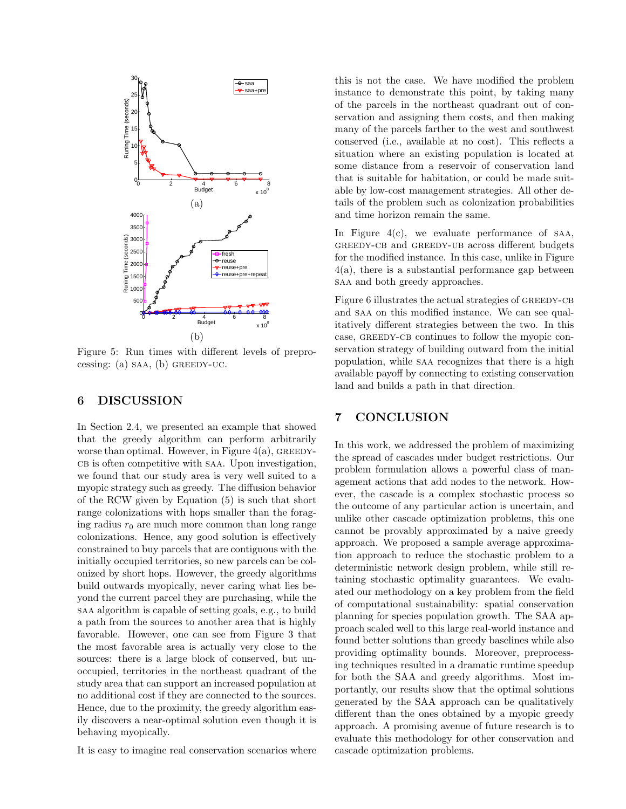

Figure 5: Run times with different levels of preprocessing: (a)  $SAA$ , (b) GREEDY-UC.

### 6 DISCUSSION

In Section 2.4, we presented an example that showed that the greedy algorithm can perform arbitrarily worse than optimal. However, in Figure  $4(a)$ , GREEDY-CB is often competitive with SAA. Upon investigation, we found that our study area is very well suited to a myopic strategy such as greedy. The diffusion behavior of the RCW given by Equation (5) is such that short range colonizations with hops smaller than the foraging radius  $r_0$  are much more common than long range colonizations. Hence, any good solution is effectively constrained to buy parcels that are contiguous with the initially occupied territories, so new parcels can be colonized by short hops. However, the greedy algorithms build outwards myopically, never caring what lies beyond the current parcel they are purchasing, while the saa algorithm is capable of setting goals, e.g., to build a path from the sources to another area that is highly favorable. However, one can see from Figure 3 that the most favorable area is actually very close to the sources: there is a large block of conserved, but unoccupied, territories in the northeast quadrant of the study area that can support an increased population at no additional cost if they are connected to the sources. Hence, due to the proximity, the greedy algorithm easily discovers a near-optimal solution even though it is behaving myopically.

It is easy to imagine real conservation scenarios where

this is not the case. We have modified the problem instance to demonstrate this point, by taking many of the parcels in the northeast quadrant out of conservation and assigning them costs, and then making many of the parcels farther to the west and southwest conserved (i.e., available at no cost). This reflects a situation where an existing population is located at some distance from a reservoir of conservation land that is suitable for habitation, or could be made suitable by low-cost management strategies. All other details of the problem such as colonization probabilities and time horizon remain the same.

In Figure  $4(c)$ , we evaluate performance of SAA, GREEDY-CB and GREEDY-UB across different budgets for the modified instance. In this case, unlike in Figure 4(a), there is a substantial performance gap between saa and both greedy approaches.

Figure 6 illustrates the actual strategies of GREEDY-CB and saa on this modified instance. We can see qualitatively different strategies between the two. In this case, GREEDY-CB continues to follow the myopic conservation strategy of building outward from the initial population, while saa recognizes that there is a high available payoff by connecting to existing conservation land and builds a path in that direction.

## 7 CONCLUSION

In this work, we addressed the problem of maximizing the spread of cascades under budget restrictions. Our problem formulation allows a powerful class of management actions that add nodes to the network. However, the cascade is a complex stochastic process so the outcome of any particular action is uncertain, and unlike other cascade optimization problems, this one cannot be provably approximated by a naive greedy approach. We proposed a sample average approximation approach to reduce the stochastic problem to a deterministic network design problem, while still retaining stochastic optimality guarantees. We evaluated our methodology on a key problem from the field of computational sustainability: spatial conservation planning for species population growth. The SAA approach scaled well to this large real-world instance and found better solutions than greedy baselines while also providing optimality bounds. Moreover, preprocessing techniques resulted in a dramatic runtime speedup for both the SAA and greedy algorithms. Most importantly, our results show that the optimal solutions generated by the SAA approach can be qualitatively different than the ones obtained by a myopic greedy approach. A promising avenue of future research is to evaluate this methodology for other conservation and cascade optimization problems.